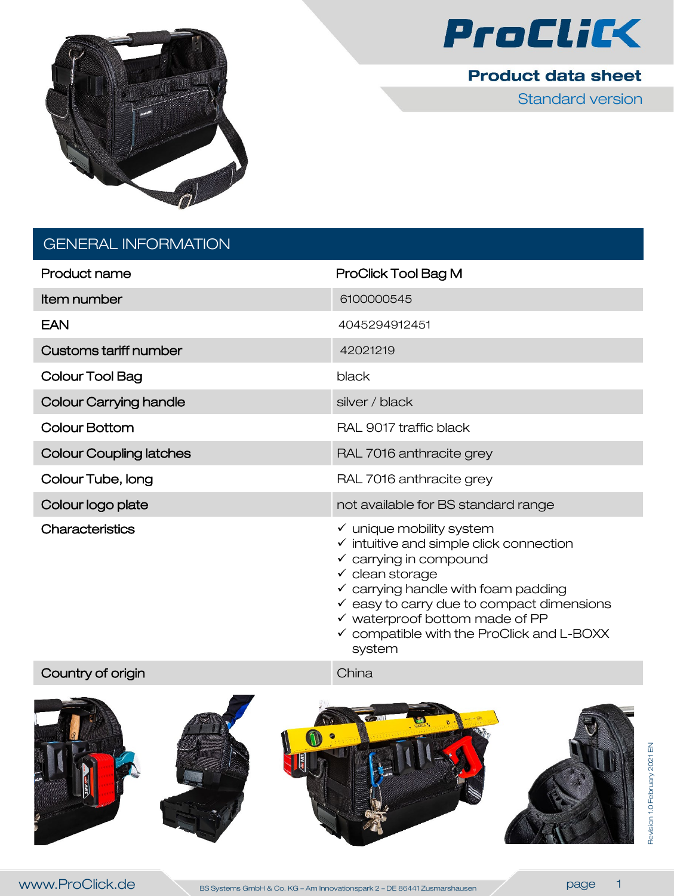



Standard version

# GENERAL INFORMATION

| Product name                   | ProClick Tool Bag M                                                                                                                                                                                                                                                    |
|--------------------------------|------------------------------------------------------------------------------------------------------------------------------------------------------------------------------------------------------------------------------------------------------------------------|
| Item number                    | 6100000545                                                                                                                                                                                                                                                             |
| <b>EAN</b>                     | 4045294912451                                                                                                                                                                                                                                                          |
| <b>Customs tariff number</b>   | 42021219                                                                                                                                                                                                                                                               |
| Colour Tool Bag                | black                                                                                                                                                                                                                                                                  |
| <b>Colour Carrying handle</b>  | silver / black                                                                                                                                                                                                                                                         |
| Colour Bottom                  | RAL 9017 traffic black                                                                                                                                                                                                                                                 |
| <b>Colour Coupling latches</b> | RAL 7016 anthracite grey                                                                                                                                                                                                                                               |
| Colour Tube, long              | RAL 7016 anthracite grey                                                                                                                                                                                                                                               |
| Colour logo plate              | not available for BS standard range                                                                                                                                                                                                                                    |
| Characteristics                | $\checkmark$ unique mobility system<br>$\checkmark$ intuitive and simple click connection<br>$\checkmark$ carrying in compound<br>$\checkmark$ clean storage<br>$\checkmark$ carrying handle with foam padding<br>$\checkmark$ easy to carry due to compact dimensions |

- $\checkmark$  waterproof bottom made of PP
- $\checkmark$  compatible with the ProClick and L-BOXX system

Country of origin China China

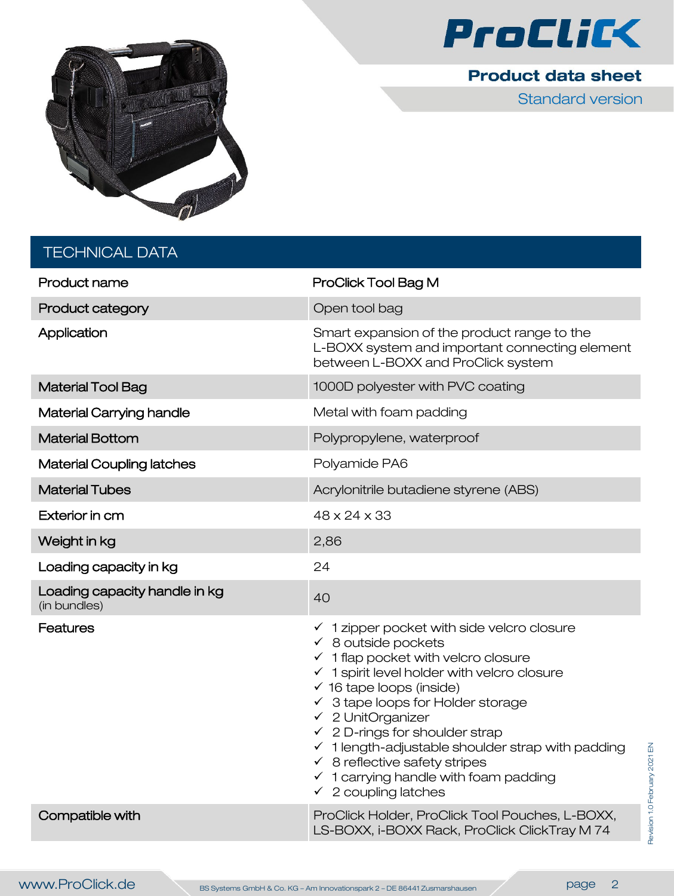



Standard version

| <b>TECHNICAL DATA</b>                         |                                                                                                                                                                                                                                                                                                                                                                                                                                                                                                                                                                            |
|-----------------------------------------------|----------------------------------------------------------------------------------------------------------------------------------------------------------------------------------------------------------------------------------------------------------------------------------------------------------------------------------------------------------------------------------------------------------------------------------------------------------------------------------------------------------------------------------------------------------------------------|
| Product name                                  | ProClick Tool Bag M                                                                                                                                                                                                                                                                                                                                                                                                                                                                                                                                                        |
| <b>Product category</b>                       | Open tool bag                                                                                                                                                                                                                                                                                                                                                                                                                                                                                                                                                              |
| Application                                   | Smart expansion of the product range to the<br>L-BOXX system and important connecting element<br>between L-BOXX and ProClick system                                                                                                                                                                                                                                                                                                                                                                                                                                        |
| <b>Material Tool Bag</b>                      | 1000D polyester with PVC coating                                                                                                                                                                                                                                                                                                                                                                                                                                                                                                                                           |
| <b>Material Carrying handle</b>               | Metal with foam padding                                                                                                                                                                                                                                                                                                                                                                                                                                                                                                                                                    |
| <b>Material Bottom</b>                        | Polypropylene, waterproof                                                                                                                                                                                                                                                                                                                                                                                                                                                                                                                                                  |
| <b>Material Coupling latches</b>              | Polyamide PA6                                                                                                                                                                                                                                                                                                                                                                                                                                                                                                                                                              |
| <b>Material Tubes</b>                         | Acrylonitrile butadiene styrene (ABS)                                                                                                                                                                                                                                                                                                                                                                                                                                                                                                                                      |
| Exterior in cm                                | $48 \times 24 \times 33$                                                                                                                                                                                                                                                                                                                                                                                                                                                                                                                                                   |
| Weight in kg                                  | 2,86                                                                                                                                                                                                                                                                                                                                                                                                                                                                                                                                                                       |
| Loading capacity in kg                        | 24                                                                                                                                                                                                                                                                                                                                                                                                                                                                                                                                                                         |
| Loading capacity handle in kg<br>(in bundles) | 40                                                                                                                                                                                                                                                                                                                                                                                                                                                                                                                                                                         |
| <b>Features</b>                               | $\checkmark$ 1 zipper pocket with side velcro closure<br>$\checkmark$ 8 outside pockets<br>$\checkmark$ 1 flap pocket with velcro closure<br>$\checkmark$ 1 spirit level holder with velcro closure<br>$\checkmark$ 16 tape loops (inside)<br>$\checkmark$ 3 tape loops for Holder storage<br>$\checkmark$ 2 UnitOrganizer<br>$\checkmark$ 2 D-rings for shoulder strap<br>$\checkmark$ 1 length-adjustable shoulder strap with padding<br>$\checkmark$ 8 reflective safety stripes<br>$\checkmark$ 1 carrying handle with foam padding<br>$\checkmark$ 2 coupling latches |
| Compatible with                               | ProClick Holder, ProClick Tool Pouches, L-BOXX,                                                                                                                                                                                                                                                                                                                                                                                                                                                                                                                            |

LS-BOXX, i-BOXX Rack, ProClick ClickTray M 74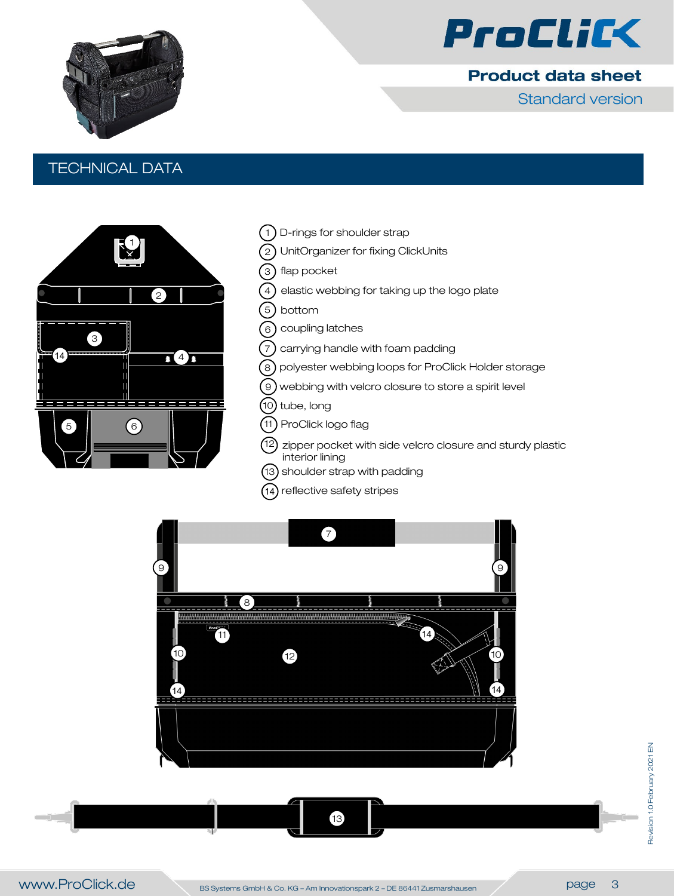

Standard version



### TECHNICAL DATA



- D-rings for shoulder strap  $(1)$
- UnitOrganizer for fixing ClickUnits  $\left( 2\right)$
- 3 ) flap pocket
- $\binom{4}{}$ elastic webbing for taking up the logo plate
- 5 bottom
- 6 coupling latches
- 7 carrying handle with foam padding
- polyester webbing loops for ProClick Holder storage 8
- $\mathcal{O}(9)$  webbing with velcro closure to store a spirit level
- (10) tube, long
- 11 ProClick logo flag
- 12) zipper pocket with side velcro closure and sturdy plastic interior lining
- 13 shoulder strap with padding
- 14 reflective safety stripes